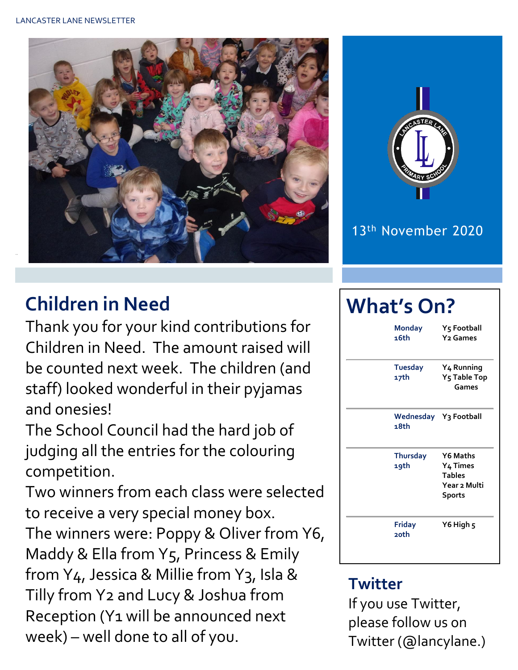



## 13th November 2020

# **Children in Need**

Thank you for your kind contributions for Children in Need. The amount raised will be counted next week. The children (and staff) looked wonderful in their pyjamas and onesies!

The School Council had the hard job of judging all the entries for the colouring competition.

Two winners from each class were selected to receive a very special money box. The winners were: Poppy & Oliver from Y6, Maddy & Ella from Y5, Princess & Emily from Y<sub>4</sub>, Jessica & Millie from Y<sub>3</sub>, Isla & Tilly from Y2 and Lucy & Joshua from Reception (Y1 will be announced next week) – well done to all of you.

# **What's On?**

| <b>Monday</b><br>16th         | Y5 Football<br><b>Y<sub>2</sub></b> Games                                          |  |  |  |
|-------------------------------|------------------------------------------------------------------------------------|--|--|--|
| <b>Tuesday</b><br>17th        | Y <sub>4</sub> Running<br>Y <sub>5</sub> Table Top<br>Games                        |  |  |  |
| Wednesday Y3 Football<br>18th |                                                                                    |  |  |  |
| <b>Thursday</b><br>19th       | Y6 Maths<br>Y <sub>4</sub> Times<br><b>Tables</b><br>Year 2 Multi<br><b>Sports</b> |  |  |  |
| Friday<br>20th                | Y6 High 5                                                                          |  |  |  |

# **Twitter**

If you use Twitter, please follow us on Twitter (@lancylane.)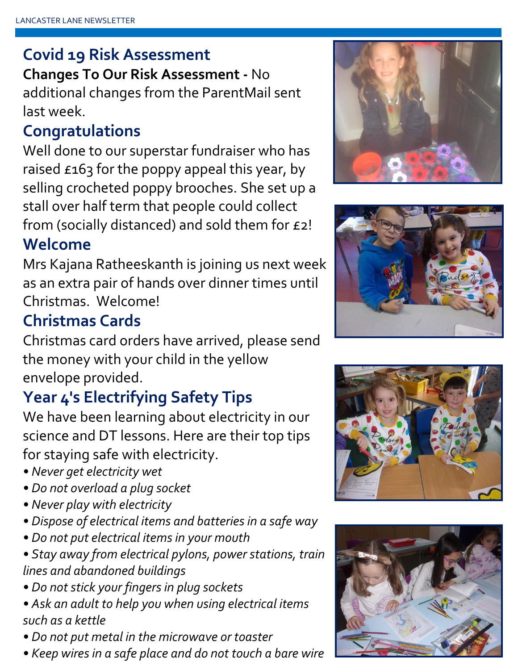## **Covid 19 Risk Assessment**

**Changes To Our Risk Assessment -** No additional changes from the ParentMail sent last week.

## **Congratulations**

Well done to our superstar fundraiser who has raised £163 for the poppy appeal this year, by selling crocheted poppy brooches. She set up a stall over half term that people could collect from (socially distanced) and sold them for £2!

#### **Welcome**

Mrs Kajana Ratheeskanth is joining us next week as an extra pair of hands over dinner times until Christmas. Welcome!

# **Christmas Cards**

Christmas card orders have arrived, please send the money with your child in the yellow envelope provided.

# **Year 4's Electrifying Safety Tips**

We have been learning about electricity in our science and DT lessons. Here are their top tips for staying safe with electricity.

- *Never get electricity wet*
- *Do not overload a plug socket*
- *Never play with electricity*
- *Dispose of electrical items and batteries in a safe way*
- *Do not put electrical items in your mouth*
- *Stay away from electrical pylons, power stations, train lines and abandoned buildings*
- *Do not stick your fingers in plug sockets*
- *Ask an adult to help you when using electrical items such as a kettle*
- *Do not put metal in the microwave or toaster*
- *Keep wires in a safe place and do not touch a bare wire*